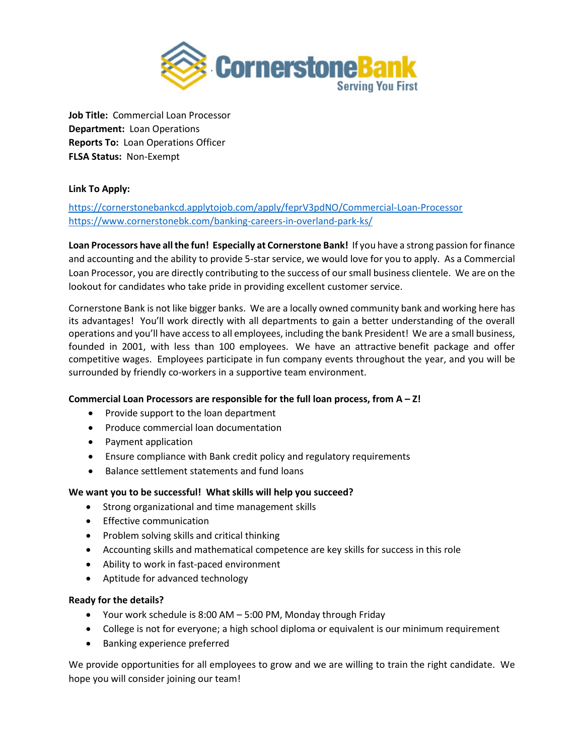

**Job Title:** Commercial Loan Processor **Department:** Loan Operations **Reports To:** Loan Operations Officer **FLSA Status:** Non-Exempt

# **Link To Apply:**

# <https://cornerstonebankcd.applytojob.com/apply/feprV3pdNO/Commercial-Loan-Processor> <https://www.cornerstonebk.com/banking-careers-in-overland-park-ks/>

**Loan Processors have all the fun! Especially at Cornerstone Bank!** If you have a strong passion for finance and accounting and the ability to provide 5-star service, we would love for you to apply. As a Commercial Loan Processor, you are directly contributing to the success of our small business clientele. We are on the lookout for candidates who take pride in providing excellent customer service.

Cornerstone Bank is not like bigger banks. We are a locally owned community bank and working here has its advantages! You'll work directly with all departments to gain a better understanding of the overall operations and you'll have access to all employees, including the bank President! We are a small business, founded in 2001, with less than 100 employees. We have an attractive benefit package and offer competitive wages. Employees participate in fun company events throughout the year, and you will be surrounded by friendly co-workers in a supportive team environment.

# **Commercial Loan Processors are responsible for the full loan process, from A – Z!**

- Provide support to the loan department
- Produce commercial loan documentation
- Payment application
- Ensure compliance with Bank credit policy and regulatory requirements
- Balance settlement statements and fund loans

## **We want you to be successful! What skills will help you succeed?**

- Strong organizational and time management skills
- Effective communication
- Problem solving skills and critical thinking
- Accounting skills and mathematical competence are key skills for success in this role
- Ability to work in fast-paced environment
- Aptitude for advanced technology

## **Ready for the details?**

- Your work schedule is 8:00 AM 5:00 PM, Monday through Friday
- College is not for everyone; a high school diploma or equivalent is our minimum requirement
- Banking experience preferred

We provide opportunities for all employees to grow and we are willing to train the right candidate. We hope you will consider joining our team!